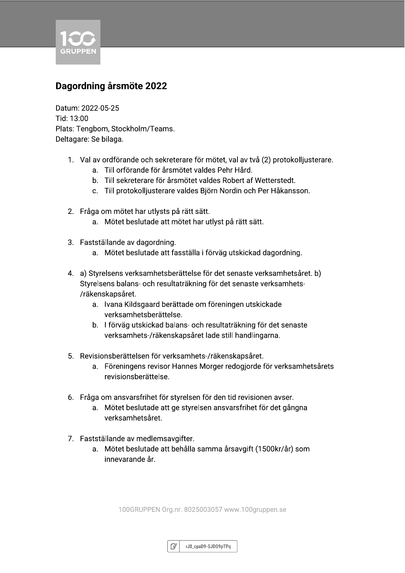

### Dagordning årsmöte 2022

Datum: 2022-05-25 Tid: 13:00 Plats: Tengbom, Stockholm/Teams. Deltagare: Se bilaga.

- 1. Val av ordförande och sekreterare för mötet, val av två (2) protokolljusterare.
	- a. Till orförande för årsmötet valdes Pehr Hård.
	- b. Till sekreterare för årsmötet valdes Robert af Wetterstedt.
	- c. Till protokolljusterare valdes Björn Nordin och Per Håkansson.
- 2. Fråga om mötet har utlysts på rätt sätt.
	- a. Mötet beslutade att mötet har utlyst på rätt sätt.
- 3. Fastställande av dagordning.
	- a. Mötet beslutade att fasställa i förväg utskickad dagordning.
- 4. a) Styrelsens verksamhetsberättelse för det senaste verksamhetsåret. b) Styrelsens balans- och resultaträkning för det senaste verksamhets-/räkenskapsåret.
	- a. Ivana Kildsgaard berättade om föreningen utskickade verksamhetsberättelse.
	- b. I förväg utskickad balans- och resultaträkning för det senaste verksamhets-/räkenskapsåret lade still handlingarna.
- 5. Revisionsberättelsen för verksamhets-/räkenskapsåret.
	- a. Föreningens revisor Hannes Morger redogjorde för verksamhetsårets revisionsberättelse.
- 6. Fråga om ansvarsfrihet för styrelsen för den tid revisionen avser.
	- a. Mötet beslutade att ge styrelsen ansvarsfrihet för det gångna verksamhetsåret.
- 7. Fastställande av medlemsavgifter.
	- a. Mötet beslutade att behålla samma årsavgift (1500kr/år) som innevarande år

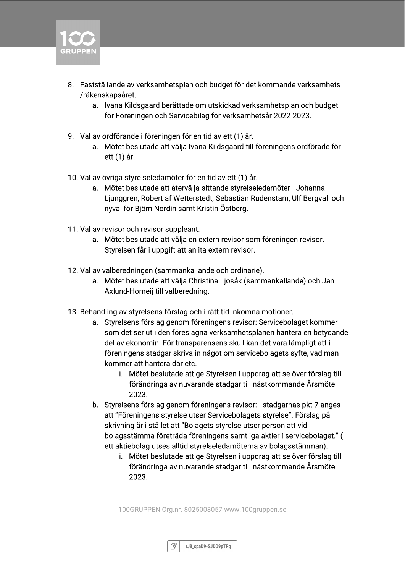

- 8. Fastställande av verksamhetsplan och budget för det kommande verksamhets-/räkenskapsåret.
	- a. Ivana Kildsgaard berättade om utskickad verksamhetsplan och budget för Föreningen och Servicebilag för verksamhetsår 2022-2023.
- 9. Val av ordförande i föreningen för en tid av ett (1) år.
	- a. Mötet beslutade att välja Ivana Kildsgaard till föreningens ordförade för ett (1) år.
- 10. Val av övriga styrelseledamöter för en tid av ett (1) år.
	- a. Mötet beslutade att återvälja sittande styrelseledamöter Johanna Ljunggren, Robert af Wetterstedt, Sebastian Rudenstam, Ulf Bergyall och nyval för Björn Nordin samt Kristin Östberg.
- 11. Val av revisor och revisor suppleant.
	- a. Mötet beslutade att välja en extern revisor som föreningen revisor. Styrelsen får i uppgift att anlita extern revisor.
- 12. Val av valberedningen (sammankallande och ordinarie).
	- a. Mötet beslutade att välja Christina Ljosåk (sammankallande) och Jan Axlund-Horneij till valberedning.
- 13. Behandling av styrelsens förslag och i rätt tid inkomna motioner.
	- a. Styrelsens förslag genom föreningens revisor: Servicebolaget kommer som det ser ut i den föreslagna verksamhetsplanen hantera en betydande del av ekonomin. För transparensens skull kan det vara lämpligt att i föreningens stadgar skriva in något om servicebolagets syfte, vad man kommer att hantera där etc.
		- i. Mötet beslutade att ge Styrelsen i uppdrag att se över förslag till förändringa av nuvarande stadgar till nästkommande Årsmöte 2023.
	- b. Styrelsens förslag genom föreningens revisor: I stadgarnas pkt 7 anges att "Föreningens styrelse utser Servicebolagets styrelse". Förslag på skrivning är i stället att "Bolagets styrelse utser person att vid bolagsstämma företräda föreningens samtliga aktier i servicebolaget." (I ett aktiebolag utses alltid styrelseledamöterna av bolagsstämman).
		- i. Mötet beslutade att ge Styrelsen i uppdrag att se över förslag till förändringa av nuvarande stadgar till nästkommande Årsmöte 2023.

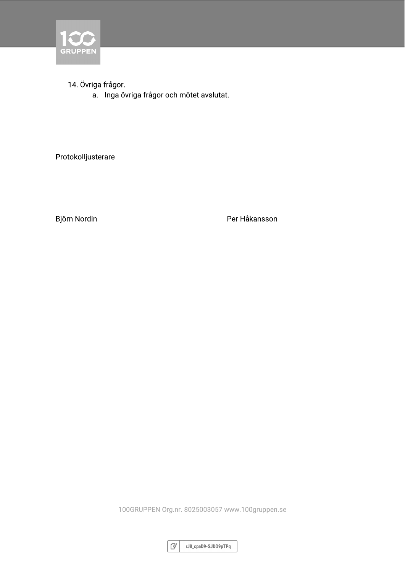

14. Övriga frågor.

a. Inga övriga frågor och mötet avslutat.

Protokolljusterare

Björn Nordin

Per Håkansson

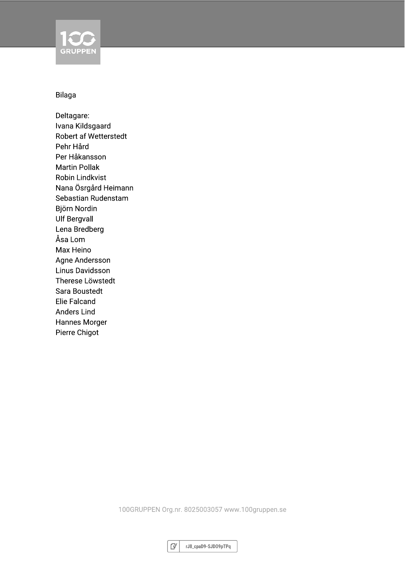

#### Bilaga

Deltagare: Ivana Kildsgaard Robert af Wetterstedt Pehr Hård Per Håkansson **Martin Pollak Robin Lindkvist** Nana Ösrgård Heimann Sebastian Rudenstam Björn Nordin **Ulf Bergvall** Lena Bredberg Åsa Lom Max Heino Agne Andersson Linus Davidsson Therese Löwstedt Sara Boustedt **Elie Falcand Anders Lind Hannes Morger** Pierre Chigot